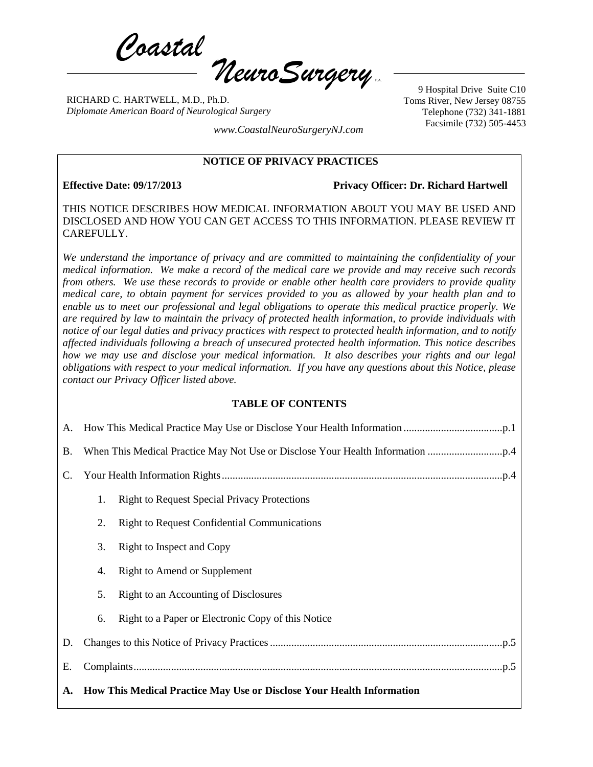*Coastal*  $\eta$ euro Surgery

RICHARD C. HARTWELL, M.D., Ph.D. *Diplomate American Board of Neurological Surgery*

9 Hospital Drive Suite C10 Toms River, New Jersey 08755 Telephone (732) 341-1881 Facsimile (732) 505-4453 *www.CoastalNeuroSurgeryNJ.com*

### **NOTICE OF PRIVACY PRACTICES**

**Effective Date: 09/17/2013 Privacy Officer: Dr. Richard Hartwell**

THIS NOTICE DESCRIBES HOW MEDICAL INFORMATION ABOUT YOU MAY BE USED AND DISCLOSED AND HOW YOU CAN GET ACCESS TO THIS INFORMATION. PLEASE REVIEW IT CAREFULLY.

*We understand the importance of privacy and are committed to maintaining the confidentiality of your medical information. We make a record of the medical care we provide and may receive such records from others. We use these records to provide or enable other health care providers to provide quality medical care, to obtain payment for services provided to you as allowed by your health plan and to enable us to meet our professional and legal obligations to operate this medical practice properly. We are required by law to maintain the privacy of protected health information, to provide individuals with notice of our legal duties and privacy practices with respect to protected health information, and to notify affected individuals following a breach of unsecured protected health information. This notice describes how we may use and disclose your medical information. It also describes your rights and our legal obligations with respect to your medical information. If you have any questions about this Notice, please contact our Privacy Officer listed above.*

#### **TABLE OF CONTENTS**

<span id="page-0-0"></span>

| <b>B.</b> |                                                                       |                                                     |  |
|-----------|-----------------------------------------------------------------------|-----------------------------------------------------|--|
| C.        |                                                                       |                                                     |  |
|           | 1.                                                                    | <b>Right to Request Special Privacy Protections</b> |  |
|           | 2.                                                                    | <b>Right to Request Confidential Communications</b> |  |
|           | 3.                                                                    | Right to Inspect and Copy                           |  |
|           | 4.                                                                    | <b>Right to Amend or Supplement</b>                 |  |
|           | 5.                                                                    | Right to an Accounting of Disclosures               |  |
|           | 6.                                                                    | Right to a Paper or Electronic Copy of this Notice  |  |
| D.        |                                                                       |                                                     |  |
| Е.        |                                                                       |                                                     |  |
| A.        | How This Medical Practice May Use or Disclose Your Health Information |                                                     |  |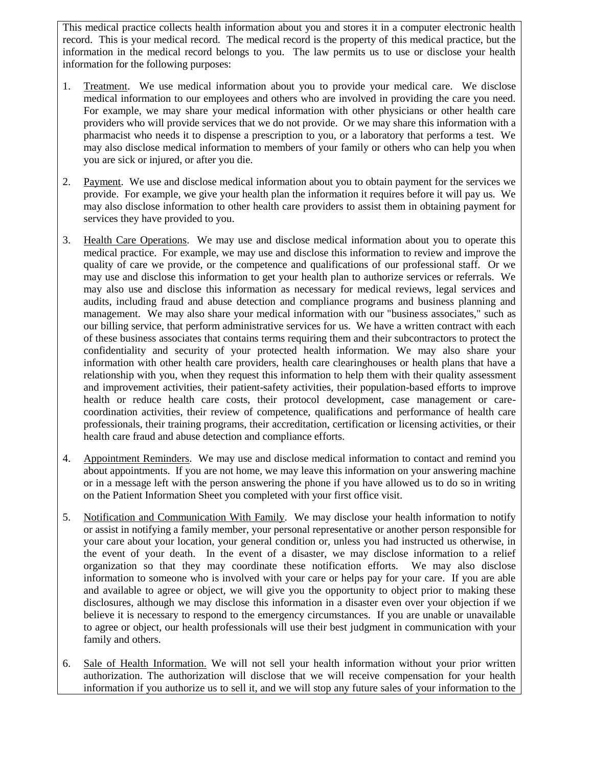This medical practice collects health information about you and stores it in a computer electronic health record. This is your medical record. The medical record is the property of this medical practice, but the information in the medical record belongs to you. The law permits us to use or disclose your health information for the following purposes:

- 1. Treatment. We use medical information about you to provide your medical care. We disclose medical information to our employees and others who are involved in providing the care you need. For example, we may share your medical information with other physicians or other health care providers who will provide services that we do not provide. Or we may share this information with a pharmacist who needs it to dispense a prescription to you, or a laboratory that performs a test. We may also disclose medical information to members of your family or others who can help you when you are sick or injured, or after you die.
- 2. Payment. We use and disclose medical information about you to obtain payment for the services we provide. For example, we give your health plan the information it requires before it will pay us. We may also disclose information to other health care providers to assist them in obtaining payment for services they have provided to you.
- 3. Health Care Operations. We may use and disclose medical information about you to operate this medical practice. For example, we may use and disclose this information to review and improve the quality of care we provide, or the competence and qualifications of our professional staff. Or we may use and disclose this information to get your health plan to authorize services or referrals. We may also use and disclose this information as necessary for medical reviews, legal services and audits, including fraud and abuse detection and compliance programs and business planning and management. We may also share your medical information with our "business associates," such as our billing service, that perform administrative services for us. We have a written contract with each of these business associates that contains terms requiring them and their subcontractors to protect the confidentiality and security of your protected health information. We may also share your information with other health care providers, health care clearinghouses or health plans that have a relationship with you, when they request this information to help them with their quality assessment and improvement activities, their patient-safety activities, their population-based efforts to improve health or reduce health care costs, their protocol development, case management or carecoordination activities, their review of competence, qualifications and performance of health care professionals, their training programs, their accreditation, certification or licensing activities, or their health care fraud and abuse detection and compliance efforts.
- 4. Appointment Reminders. We may use and disclose medical information to contact and remind you about appointments. If you are not home, we may leave this information on your answering machine or in a message left with the person answering the phone if you have allowed us to do so in writing on the Patient Information Sheet you completed with your first office visit.
- 5. Notification and Communication With Family. We may disclose your health information to notify or assist in notifying a family member, your personal representative or another person responsible for your care about your location, your general condition or, unless you had instructed us otherwise, in the event of your death. In the event of a disaster, we may disclose information to a relief organization so that they may coordinate these notification efforts. We may also disclose information to someone who is involved with your care or helps pay for your care. If you are able and available to agree or object, we will give you the opportunity to object prior to making these disclosures, although we may disclose this information in a disaster even over your objection if we believe it is necessary to respond to the emergency circumstances. If you are unable or unavailable to agree or object, our health professionals will use their best judgment in communication with your family and others.
- 6. Sale of Health Information. We will not sell your health information without your prior written authorization. The authorization will disclose that we will receive compensation for your health information if you authorize us to sell it, and we will stop any future sales of your information to the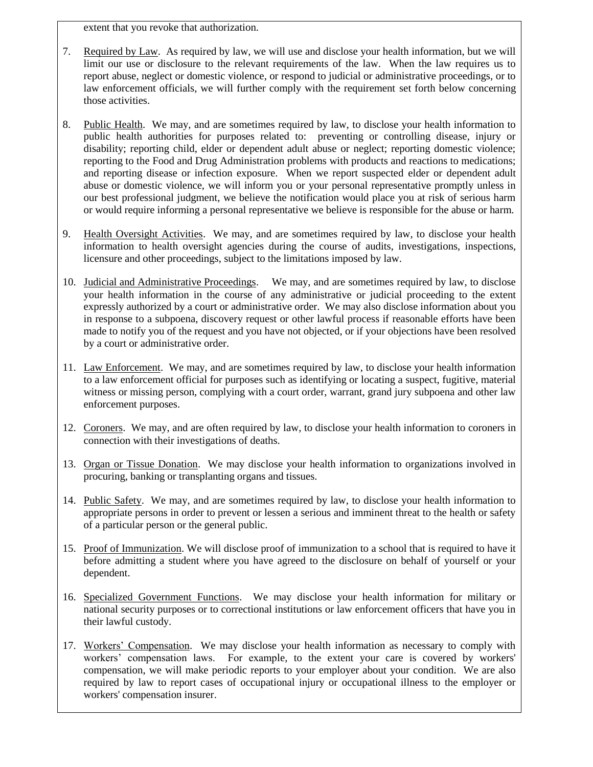extent that you revoke that authorization.

- 7. Required by Law. As required by law, we will use and disclose your health information, but we will limit our use or disclosure to the relevant requirements of the law. When the law requires us to report abuse, neglect or domestic violence, or respond to judicial or administrative proceedings, or to law enforcement officials, we will further comply with the requirement set forth below concerning those activities.
- 8. Public Health. We may, and are sometimes required by law, to disclose your health information to public health authorities for purposes related to: preventing or controlling disease, injury or disability; reporting child, elder or dependent adult abuse or neglect; reporting domestic violence; reporting to the Food and Drug Administration problems with products and reactions to medications; and reporting disease or infection exposure. When we report suspected elder or dependent adult abuse or domestic violence, we will inform you or your personal representative promptly unless in our best professional judgment, we believe the notification would place you at risk of serious harm or would require informing a personal representative we believe is responsible for the abuse or harm.
- 9. Health Oversight Activities. We may, and are sometimes required by law, to disclose your health information to health oversight agencies during the course of audits, investigations, inspections, licensure and other proceedings, subject to the limitations imposed by law.
- 10. Judicial and Administrative Proceedings. We may, and are sometimes required by law, to disclose your health information in the course of any administrative or judicial proceeding to the extent expressly authorized by a court or administrative order. We may also disclose information about you in response to a subpoena, discovery request or other lawful process if reasonable efforts have been made to notify you of the request and you have not objected, or if your objections have been resolved by a court or administrative order.
- 11. Law Enforcement. We may, and are sometimes required by law, to disclose your health information to a law enforcement official for purposes such as identifying or locating a suspect, fugitive, material witness or missing person, complying with a court order, warrant, grand jury subpoena and other law enforcement purposes.
- 12. Coroners. We may, and are often required by law, to disclose your health information to coroners in connection with their investigations of deaths.
- 13. Organ or Tissue Donation. We may disclose your health information to organizations involved in procuring, banking or transplanting organs and tissues.
- 14. Public Safety. We may, and are sometimes required by law, to disclose your health information to appropriate persons in order to prevent or lessen a serious and imminent threat to the health or safety of a particular person or the general public.
- 15. Proof of Immunization. We will disclose proof of immunization to a school that is required to have it before admitting a student where you have agreed to the disclosure on behalf of yourself or your dependent.
- 16. Specialized Government Functions. We may disclose your health information for military or national security purposes or to correctional institutions or law enforcement officers that have you in their lawful custody.
- 17. Workers' Compensation. We may disclose your health information as necessary to comply with workers' compensation laws. For example, to the extent your care is covered by workers' compensation, we will make periodic reports to your employer about your condition. We are also required by law to report cases of occupational injury or occupational illness to the employer or workers' compensation insurer.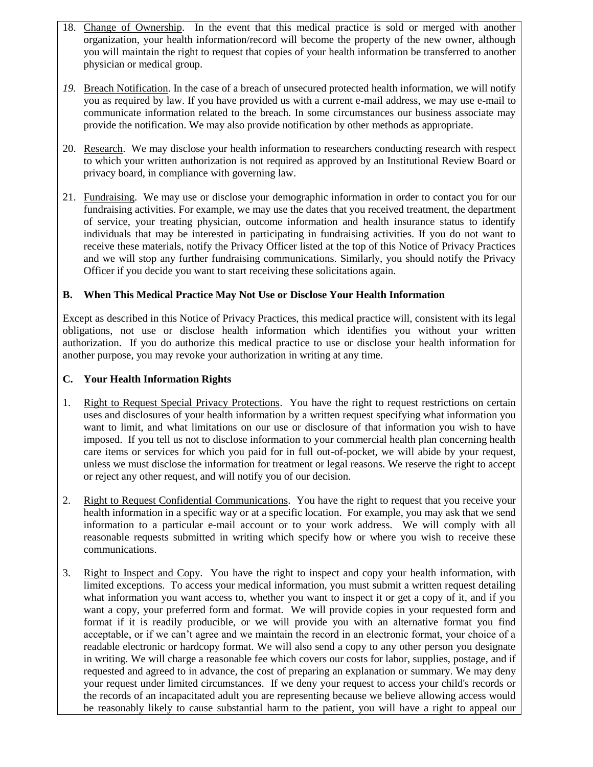- 18. Change of Ownership. In the event that this medical practice is sold or merged with another organization, your health information/record will become the property of the new owner, although you will maintain the right to request that copies of your health information be transferred to another physician or medical group.
- *19.* Breach Notification. In the case of a breach of unsecured protected health information, we will notify you as required by law. If you have provided us with a current e-mail address, we may use e-mail to communicate information related to the breach. In some circumstances our business associate may provide the notification. We may also provide notification by other methods as appropriate.
- 20. Research. We may disclose your health information to researchers conducting research with respect to which your written authorization is not required as approved by an Institutional Review Board or privacy board, in compliance with governing law.
- 21. Fundraising. We may use or disclose your demographic information in order to contact you for our fundraising activities. For example, we may use the dates that you received treatment, the department of service, your treating physician, outcome information and health insurance status to identify individuals that may be interested in participating in fundraising activities. If you do not want to receive these materials, notify the Privacy Officer listed at the top of this Notice of Privacy Practices and we will stop any further fundraising communications. Similarly, you should notify the Privacy Officer if you decide you want to start receiving these solicitations again.

# <span id="page-3-0"></span>**B. When This Medical Practice May Not Use or Disclose Your Health Information**

Except as described in this Notice of Privacy Practices, this medical practice will, consistent with its legal obligations, not use or disclose health information which identifies you without your written authorization. If you do authorize this medical practice to use or disclose your health information for another purpose, you may revoke your authorization in writing at any time.

## <span id="page-3-1"></span>**C. Your Health Information Rights**

- 1. Right to Request Special Privacy Protections. You have the right to request restrictions on certain uses and disclosures of your health information by a written request specifying what information you want to limit, and what limitations on our use or disclosure of that information you wish to have imposed. If you tell us not to disclose information to your commercial health plan concerning health care items or services for which you paid for in full out-of-pocket, we will abide by your request, unless we must disclose the information for treatment or legal reasons. We reserve the right to accept or reject any other request, and will notify you of our decision.
- 2. Right to Request Confidential Communications. You have the right to request that you receive your health information in a specific way or at a specific location. For example, you may ask that we send information to a particular e-mail account or to your work address. We will comply with all reasonable requests submitted in writing which specify how or where you wish to receive these communications.
- 3. Right to Inspect and Copy. You have the right to inspect and copy your health information, with limited exceptions. To access your medical information, you must submit a written request detailing what information you want access to, whether you want to inspect it or get a copy of it, and if you want a copy, your preferred form and format. We will provide copies in your requested form and format if it is readily producible, or we will provide you with an alternative format you find acceptable, or if we can't agree and we maintain the record in an electronic format, your choice of a readable electronic or hardcopy format. We will also send a copy to any other person you designate in writing. We will charge a reasonable fee which covers our costs for labor, supplies, postage, and if requested and agreed to in advance, the cost of preparing an explanation or summary. We may deny your request under limited circumstances. If we deny your request to access your child's records or the records of an incapacitated adult you are representing because we believe allowing access would be reasonably likely to cause substantial harm to the patient, you will have a right to appeal our